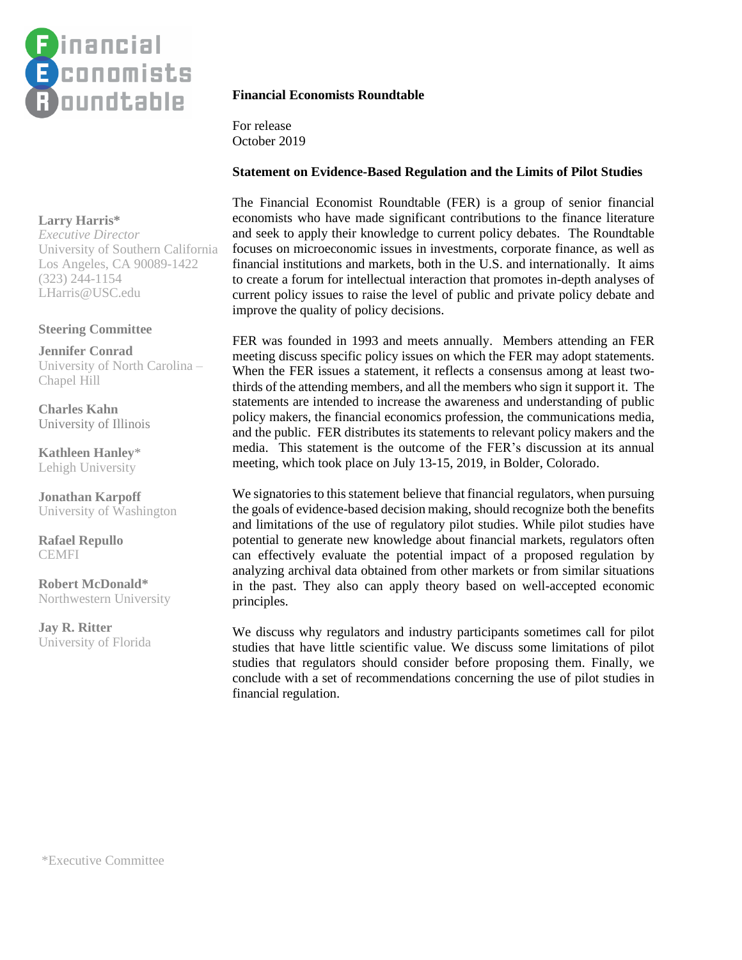

# **Larry Harris\***

*Executive Director* University of Southern California Los Angeles, CA 90089-1422 (323) 244-1154 LHarris@USC.edu

## **Steering Committee**

**Jennifer Conrad** University of North Carolina – Chapel Hill

**Charles Kahn** University of Illinois

**Kathleen Hanley**\* Lehigh University

**Jonathan Karpoff** University of Washington

**Rafael Repullo CEMFI** 

**Robert McDonald\*** Northwestern University

**Jay R. Ritter** University of Florida

# **Financial Economists Roundtable**

For release October 2019

#### **Statement on Evidence-Based Regulation and the Limits of Pilot Studies**

The Financial Economist Roundtable (FER) is a group of senior financial economists who have made significant contributions to the finance literature and seek to apply their knowledge to current policy debates. The Roundtable focuses on microeconomic issues in investments, corporate finance, as well as financial institutions and markets, both in the U.S. and internationally. It aims to create a forum for intellectual interaction that promotes in-depth analyses of current policy issues to raise the level of public and private policy debate and improve the quality of policy decisions.

FER was founded in 1993 and meets annually. Members attending an FER meeting discuss specific policy issues on which the FER may adopt statements. When the FER issues a statement, it reflects a consensus among at least twothirds of the attending members, and all the members who sign it support it. The statements are intended to increase the awareness and understanding of public policy makers, the financial economics profession, the communications media, and the public. FER distributes its statements to relevant policy makers and the media. This statement is the outcome of the FER's discussion at its annual meeting, which took place on July 13-15, 2019, in Bolder, Colorado.

We signatories to this statement believe that financial regulators, when pursuing the goals of evidence-based decision making, should recognize both the benefits and limitations of the use of regulatory pilot studies. While pilot studies have potential to generate new knowledge about financial markets, regulators often can effectively evaluate the potential impact of a proposed regulation by analyzing archival data obtained from other markets or from similar situations in the past. They also can apply theory based on well-accepted economic principles.

We discuss why regulators and industry participants sometimes call for pilot studies that have little scientific value. We discuss some limitations of pilot studies that regulators should consider before proposing them. Finally, we conclude with a set of recommendations concerning the use of pilot studies in financial regulation.

\*Executive Committee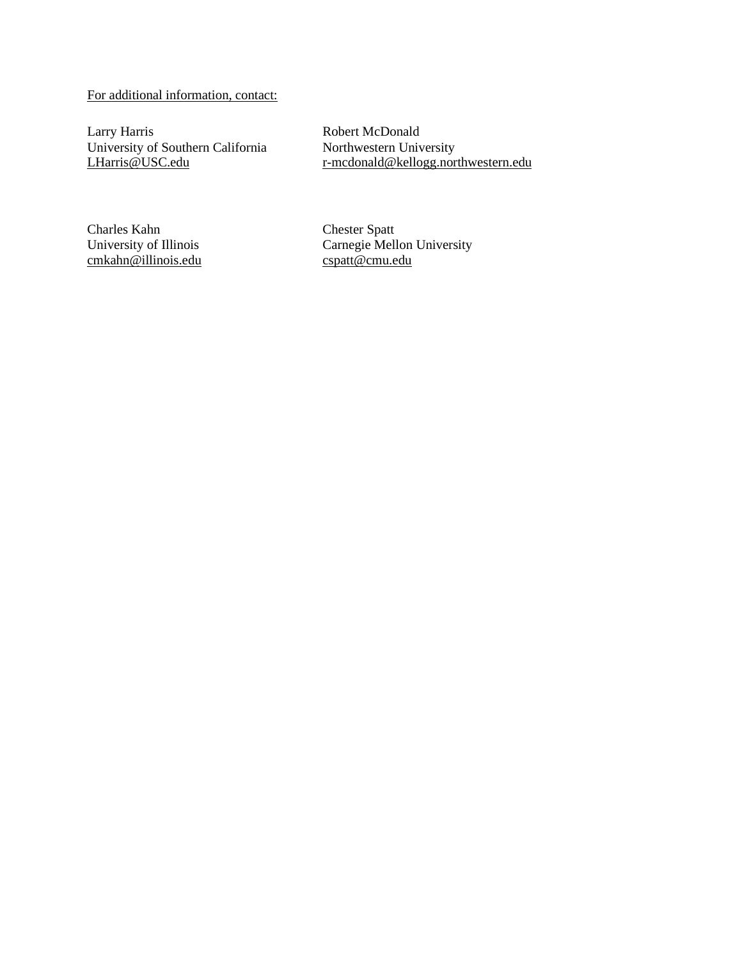# For additional information, contact:

Larry Harris University of Southern California [LHarris@USC.edu](mailto:LHarris@USC.edu)

Robert McDonald Northwestern University [r-mcdonald@kellogg.northwestern.edu](mailto:r-mcdonald@kellogg.northwestern.edu)

Charles Kahn University of Illinois [cmkahn@illinois.edu](mailto:cmkahn@illinois.edu) Chester Spatt Carnegie Mellon University [cspatt@cmu.edu](mailto:cspatt@cmu.edu)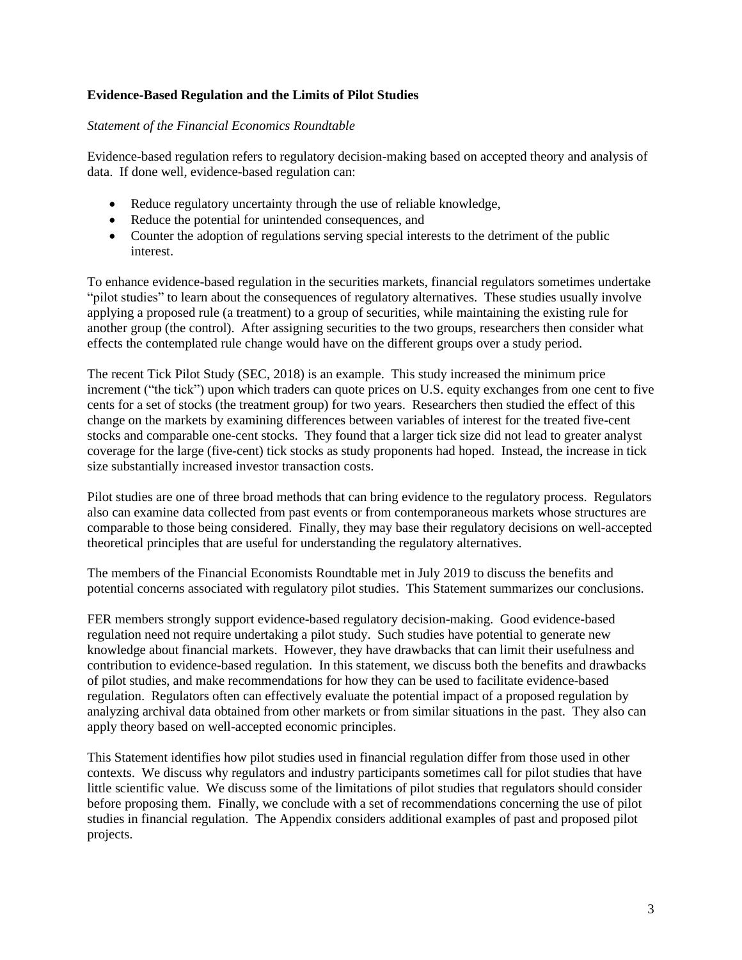# **Evidence-Based Regulation and the Limits of Pilot Studies**

## *Statement of the Financial Economics Roundtable*

Evidence-based regulation refers to regulatory decision-making based on accepted theory and analysis of data. If done well, evidence-based regulation can:

- Reduce regulatory uncertainty through the use of reliable knowledge,
- Reduce the potential for unintended consequences, and
- Counter the adoption of regulations serving special interests to the detriment of the public interest.

To enhance evidence-based regulation in the securities markets, financial regulators sometimes undertake "pilot studies" to learn about the consequences of regulatory alternatives. These studies usually involve applying a proposed rule (a treatment) to a group of securities, while maintaining the existing rule for another group (the control). After assigning securities to the two groups, researchers then consider what effects the contemplated rule change would have on the different groups over a study period.

The recent Tick Pilot Study (SEC, 2018) is an example. This study increased the minimum price increment ("the tick") upon which traders can quote prices on U.S. equity exchanges from one cent to five cents for a set of stocks (the treatment group) for two years. Researchers then studied the effect of this change on the markets by examining differences between variables of interest for the treated five-cent stocks and comparable one-cent stocks. They found that a larger tick size did not lead to greater analyst coverage for the large (five-cent) tick stocks as study proponents had hoped. Instead, the increase in tick size substantially increased investor transaction costs.

Pilot studies are one of three broad methods that can bring evidence to the regulatory process. Regulators also can examine data collected from past events or from contemporaneous markets whose structures are comparable to those being considered. Finally, they may base their regulatory decisions on well-accepted theoretical principles that are useful for understanding the regulatory alternatives.

The members of the Financial Economists Roundtable met in July 2019 to discuss the benefits and potential concerns associated with regulatory pilot studies. This Statement summarizes our conclusions.

FER members strongly support evidence-based regulatory decision-making. Good evidence-based regulation need not require undertaking a pilot study. Such studies have potential to generate new knowledge about financial markets. However, they have drawbacks that can limit their usefulness and contribution to evidence-based regulation. In this statement, we discuss both the benefits and drawbacks of pilot studies, and make recommendations for how they can be used to facilitate evidence-based regulation. Regulators often can effectively evaluate the potential impact of a proposed regulation by analyzing archival data obtained from other markets or from similar situations in the past. They also can apply theory based on well-accepted economic principles.

This Statement identifies how pilot studies used in financial regulation differ from those used in other contexts. We discuss why regulators and industry participants sometimes call for pilot studies that have little scientific value. We discuss some of the limitations of pilot studies that regulators should consider before proposing them. Finally, we conclude with a set of recommendations concerning the use of pilot studies in financial regulation. The Appendix considers additional examples of past and proposed pilot projects.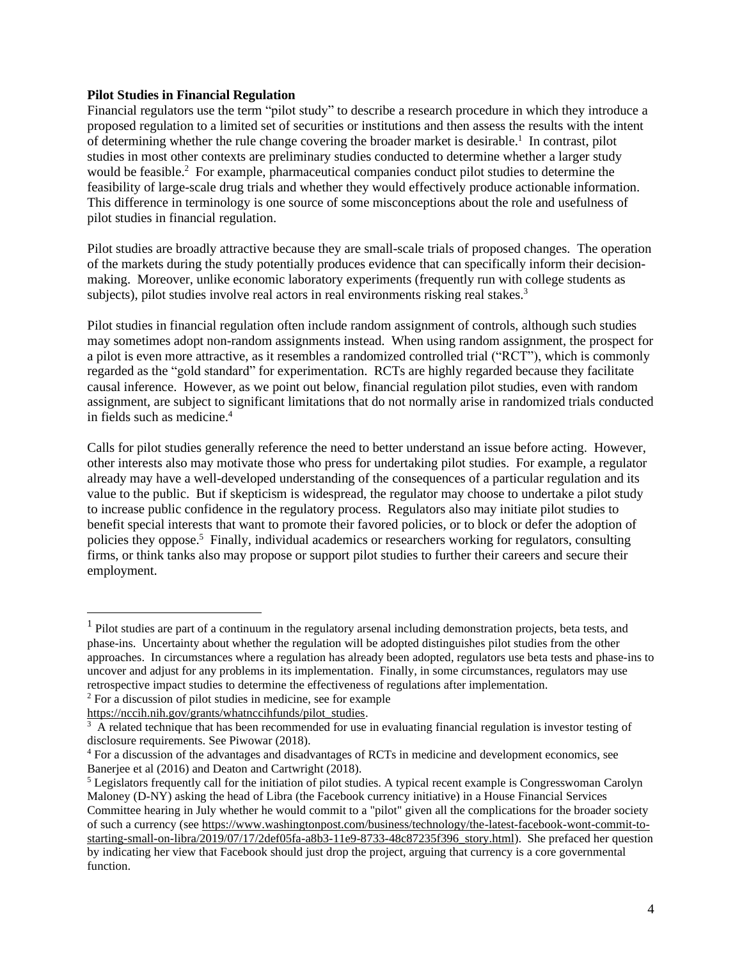#### **Pilot Studies in Financial Regulation**

Financial regulators use the term "pilot study" to describe a research procedure in which they introduce a proposed regulation to a limited set of securities or institutions and then assess the results with the intent of determining whether the rule change covering the broader market is desirable.<sup>1</sup> In contrast, pilot studies in most other contexts are preliminary studies conducted to determine whether a larger study would be feasible.<sup>2</sup> For example, pharmaceutical companies conduct pilot studies to determine the feasibility of large-scale drug trials and whether they would effectively produce actionable information. This difference in terminology is one source of some misconceptions about the role and usefulness of pilot studies in financial regulation.

Pilot studies are broadly attractive because they are small-scale trials of proposed changes. The operation of the markets during the study potentially produces evidence that can specifically inform their decisionmaking. Moreover, unlike economic laboratory experiments (frequently run with college students as subjects), pilot studies involve real actors in real environments risking real stakes.<sup>3</sup>

Pilot studies in financial regulation often include random assignment of controls, although such studies may sometimes adopt non-random assignments instead. When using random assignment, the prospect for a pilot is even more attractive, as it resembles a randomized controlled trial ("RCT"), which is commonly regarded as the "gold standard" for experimentation. RCTs are highly regarded because they facilitate causal inference. However, as we point out below, financial regulation pilot studies, even with random assignment, are subject to significant limitations that do not normally arise in randomized trials conducted in fields such as medicine.<sup>4</sup>

Calls for pilot studies generally reference the need to better understand an issue before acting. However, other interests also may motivate those who press for undertaking pilot studies. For example, a regulator already may have a well-developed understanding of the consequences of a particular regulation and its value to the public. But if skepticism is widespread, the regulator may choose to undertake a pilot study to increase public confidence in the regulatory process. Regulators also may initiate pilot studies to benefit special interests that want to promote their favored policies, or to block or defer the adoption of policies they oppose.<sup>5</sup> Finally, individual academics or researchers working for regulators, consulting firms, or think tanks also may propose or support pilot studies to further their careers and secure their employment.

<sup>&</sup>lt;sup>1</sup> Pilot studies are part of a continuum in the regulatory arsenal including demonstration projects, beta tests, and phase-ins. Uncertainty about whether the regulation will be adopted distinguishes pilot studies from the other approaches. In circumstances where a regulation has already been adopted, regulators use beta tests and phase-ins to uncover and adjust for any problems in its implementation. Finally, in some circumstances, regulators may use retrospective impact studies to determine the effectiveness of regulations after implementation.

<sup>2</sup> For a discussion of pilot studies in medicine, see for example

[https://nccih.nih.gov/grants/whatnccihfunds/pilot\\_studies.](https://nccih.nih.gov/grants/whatnccihfunds/pilot_studies)

<sup>&</sup>lt;sup>3</sup> A related technique that has been recommended for use in evaluating financial regulation is investor testing of disclosure requirements. See Piwowar (2018).

<sup>4</sup> For a discussion of the advantages and disadvantages of RCTs in medicine and development economics, see Baneriee et al (2016) and Deaton and Cartwright (2018).

 $<sup>5</sup>$  Legislators frequently call for the initiation of pilot studies. A typical recent example is Congresswoman Carolyn</sup> Maloney (D-NY) asking the head of Libra (the Facebook currency initiative) in a House Financial Services Committee hearing in July whether he would commit to a "pilot" given all the complications for the broader society of such a currency (see [https://www.washingtonpost.com/business/technology/the-latest-facebook-wont-commit-to](https://www.washingtonpost.com/business/technology/the-latest-facebook-wont-commit-to-starting-small-on-libra/2019/07/17/2def05fa-a8b3-11e9-8733-48c87235f396_story.html)[starting-small-on-libra/2019/07/17/2def05fa-a8b3-11e9-8733-48c87235f396\\_story.html\)](https://www.washingtonpost.com/business/technology/the-latest-facebook-wont-commit-to-starting-small-on-libra/2019/07/17/2def05fa-a8b3-11e9-8733-48c87235f396_story.html). She prefaced her question by indicating her view that Facebook should just drop the project, arguing that currency is a core governmental function.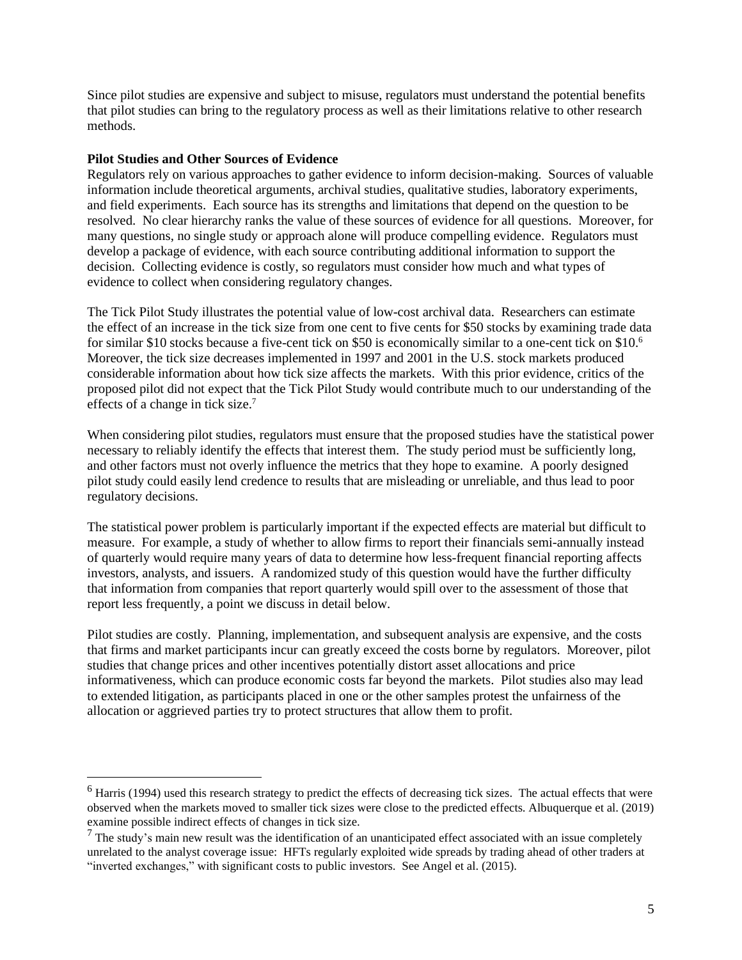Since pilot studies are expensive and subject to misuse, regulators must understand the potential benefits that pilot studies can bring to the regulatory process as well as their limitations relative to other research methods.

#### **Pilot Studies and Other Sources of Evidence**

Regulators rely on various approaches to gather evidence to inform decision-making. Sources of valuable information include theoretical arguments, archival studies, qualitative studies, laboratory experiments, and field experiments. Each source has its strengths and limitations that depend on the question to be resolved. No clear hierarchy ranks the value of these sources of evidence for all questions. Moreover, for many questions, no single study or approach alone will produce compelling evidence. Regulators must develop a package of evidence, with each source contributing additional information to support the decision. Collecting evidence is costly, so regulators must consider how much and what types of evidence to collect when considering regulatory changes.

The Tick Pilot Study illustrates the potential value of low-cost archival data. Researchers can estimate the effect of an increase in the tick size from one cent to five cents for \$50 stocks by examining trade data for similar \$10 stocks because a five-cent tick on \$50 is economically similar to a one-cent tick on \$10.<sup>6</sup> Moreover, the tick size decreases implemented in 1997 and 2001 in the U.S. stock markets produced considerable information about how tick size affects the markets. With this prior evidence, critics of the proposed pilot did not expect that the Tick Pilot Study would contribute much to our understanding of the effects of a change in tick size.<sup>7</sup>

When considering pilot studies, regulators must ensure that the proposed studies have the statistical power necessary to reliably identify the effects that interest them. The study period must be sufficiently long, and other factors must not overly influence the metrics that they hope to examine. A poorly designed pilot study could easily lend credence to results that are misleading or unreliable, and thus lead to poor regulatory decisions.

The statistical power problem is particularly important if the expected effects are material but difficult to measure. For example, a study of whether to allow firms to report their financials semi-annually instead of quarterly would require many years of data to determine how less-frequent financial reporting affects investors, analysts, and issuers. A randomized study of this question would have the further difficulty that information from companies that report quarterly would spill over to the assessment of those that report less frequently, a point we discuss in detail below.

Pilot studies are costly. Planning, implementation, and subsequent analysis are expensive, and the costs that firms and market participants incur can greatly exceed the costs borne by regulators. Moreover, pilot studies that change prices and other incentives potentially distort asset allocations and price informativeness, which can produce economic costs far beyond the markets. Pilot studies also may lead to extended litigation, as participants placed in one or the other samples protest the unfairness of the allocation or aggrieved parties try to protect structures that allow them to profit.

 $<sup>6</sup>$  Harris (1994) used this research strategy to predict the effects of decreasing tick sizes. The actual effects that were</sup> observed when the markets moved to smaller tick sizes were close to the predicted effects. Albuquerque et al. (2019) examine possible indirect effects of changes in tick size.

 $<sup>7</sup>$  The study's main new result was the identification of an unanticipated effect associated with an issue completely</sup> unrelated to the analyst coverage issue: HFTs regularly exploited wide spreads by trading ahead of other traders at "inverted exchanges," with significant costs to public investors. See Angel et al. (2015).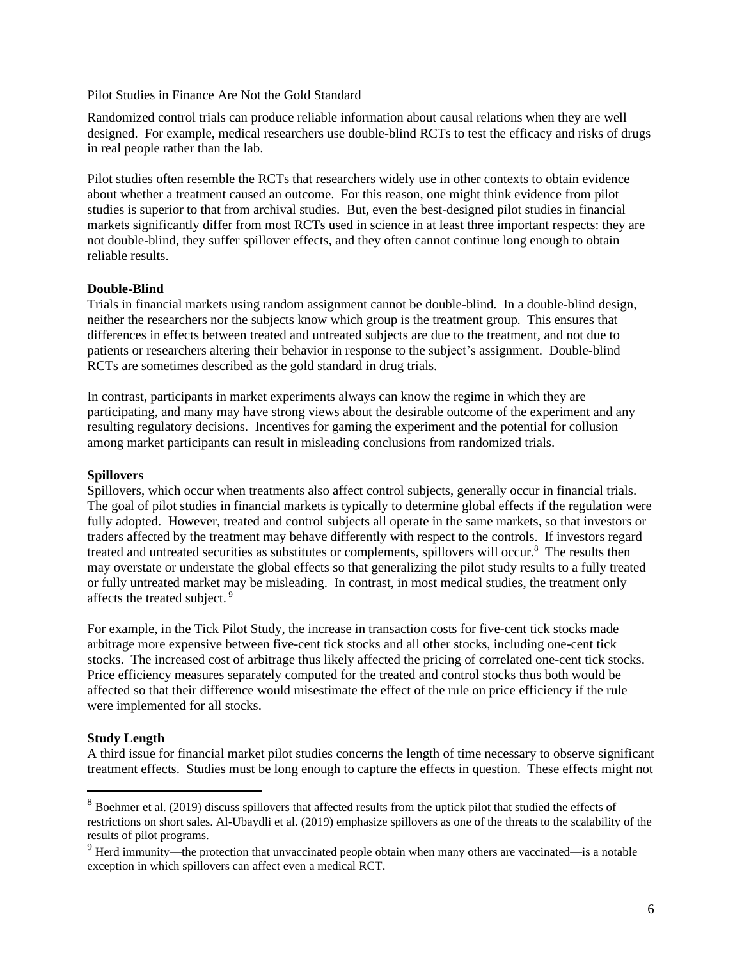Pilot Studies in Finance Are Not the Gold Standard

Randomized control trials can produce reliable information about causal relations when they are well designed. For example, medical researchers use double-blind RCTs to test the efficacy and risks of drugs in real people rather than the lab.

Pilot studies often resemble the RCTs that researchers widely use in other contexts to obtain evidence about whether a treatment caused an outcome. For this reason, one might think evidence from pilot studies is superior to that from archival studies. But, even the best-designed pilot studies in financial markets significantly differ from most RCTs used in science in at least three important respects: they are not double-blind, they suffer spillover effects, and they often cannot continue long enough to obtain reliable results.

#### **Double-Blind**

Trials in financial markets using random assignment cannot be double-blind. In a double-blind design, neither the researchers nor the subjects know which group is the treatment group. This ensures that differences in effects between treated and untreated subjects are due to the treatment, and not due to patients or researchers altering their behavior in response to the subject's assignment. Double-blind RCTs are sometimes described as the gold standard in drug trials.

In contrast, participants in market experiments always can know the regime in which they are participating, and many may have strong views about the desirable outcome of the experiment and any resulting regulatory decisions. Incentives for gaming the experiment and the potential for collusion among market participants can result in misleading conclusions from randomized trials.

#### **Spillovers**

Spillovers, which occur when treatments also affect control subjects, generally occur in financial trials. The goal of pilot studies in financial markets is typically to determine global effects if the regulation were fully adopted. However, treated and control subjects all operate in the same markets, so that investors or traders affected by the treatment may behave differently with respect to the controls. If investors regard treated and untreated securities as substitutes or complements, spillovers will occur.<sup>8</sup> The results then may overstate or understate the global effects so that generalizing the pilot study results to a fully treated or fully untreated market may be misleading. In contrast, in most medical studies, the treatment only affects the treated subject. <sup>9</sup>

For example, in the Tick Pilot Study, the increase in transaction costs for five-cent tick stocks made arbitrage more expensive between five-cent tick stocks and all other stocks, including one-cent tick stocks. The increased cost of arbitrage thus likely affected the pricing of correlated one-cent tick stocks. Price efficiency measures separately computed for the treated and control stocks thus both would be affected so that their difference would misestimate the effect of the rule on price efficiency if the rule were implemented for all stocks.

## **Study Length**

A third issue for financial market pilot studies concerns the length of time necessary to observe significant treatment effects. Studies must be long enough to capture the effects in question. These effects might not

<sup>&</sup>lt;sup>8</sup> Boehmer et al. (2019) discuss spillovers that affected results from the uptick pilot that studied the effects of restrictions on short sales. Al-Ubaydli et al. (2019) emphasize spillovers as one of the threats to the scalability of the results of pilot programs.

<sup>9</sup> Herd immunity—the protection that unvaccinated people obtain when many others are vaccinated—is a notable exception in which spillovers can affect even a medical RCT.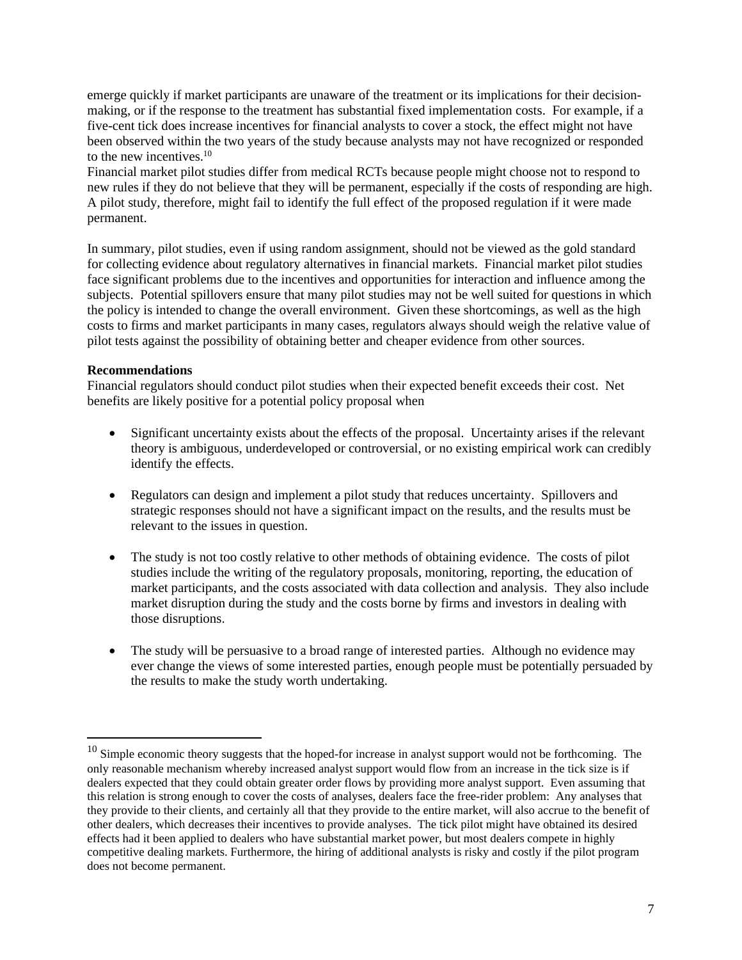emerge quickly if market participants are unaware of the treatment or its implications for their decisionmaking, or if the response to the treatment has substantial fixed implementation costs. For example, if a five-cent tick does increase incentives for financial analysts to cover a stock, the effect might not have been observed within the two years of the study because analysts may not have recognized or responded to the new incentives.<sup>10</sup>

Financial market pilot studies differ from medical RCTs because people might choose not to respond to new rules if they do not believe that they will be permanent, especially if the costs of responding are high. A pilot study, therefore, might fail to identify the full effect of the proposed regulation if it were made permanent.

In summary, pilot studies, even if using random assignment, should not be viewed as the gold standard for collecting evidence about regulatory alternatives in financial markets. Financial market pilot studies face significant problems due to the incentives and opportunities for interaction and influence among the subjects. Potential spillovers ensure that many pilot studies may not be well suited for questions in which the policy is intended to change the overall environment. Given these shortcomings, as well as the high costs to firms and market participants in many cases, regulators always should weigh the relative value of pilot tests against the possibility of obtaining better and cheaper evidence from other sources.

## **Recommendations**

Financial regulators should conduct pilot studies when their expected benefit exceeds their cost. Net benefits are likely positive for a potential policy proposal when

- Significant uncertainty exists about the effects of the proposal. Uncertainty arises if the relevant theory is ambiguous, underdeveloped or controversial, or no existing empirical work can credibly identify the effects.
- Regulators can design and implement a pilot study that reduces uncertainty. Spillovers and strategic responses should not have a significant impact on the results, and the results must be relevant to the issues in question.
- The study is not too costly relative to other methods of obtaining evidence. The costs of pilot studies include the writing of the regulatory proposals, monitoring, reporting, the education of market participants, and the costs associated with data collection and analysis. They also include market disruption during the study and the costs borne by firms and investors in dealing with those disruptions.
- The study will be persuasive to a broad range of interested parties. Although no evidence may ever change the views of some interested parties, enough people must be potentially persuaded by the results to make the study worth undertaking.

 $10$  Simple economic theory suggests that the hoped-for increase in analyst support would not be forthcoming. The only reasonable mechanism whereby increased analyst support would flow from an increase in the tick size is if dealers expected that they could obtain greater order flows by providing more analyst support. Even assuming that this relation is strong enough to cover the costs of analyses, dealers face the free-rider problem: Any analyses that they provide to their clients, and certainly all that they provide to the entire market, will also accrue to the benefit of other dealers, which decreases their incentives to provide analyses. The tick pilot might have obtained its desired effects had it been applied to dealers who have substantial market power, but most dealers compete in highly competitive dealing markets. Furthermore, the hiring of additional analysts is risky and costly if the pilot program does not become permanent.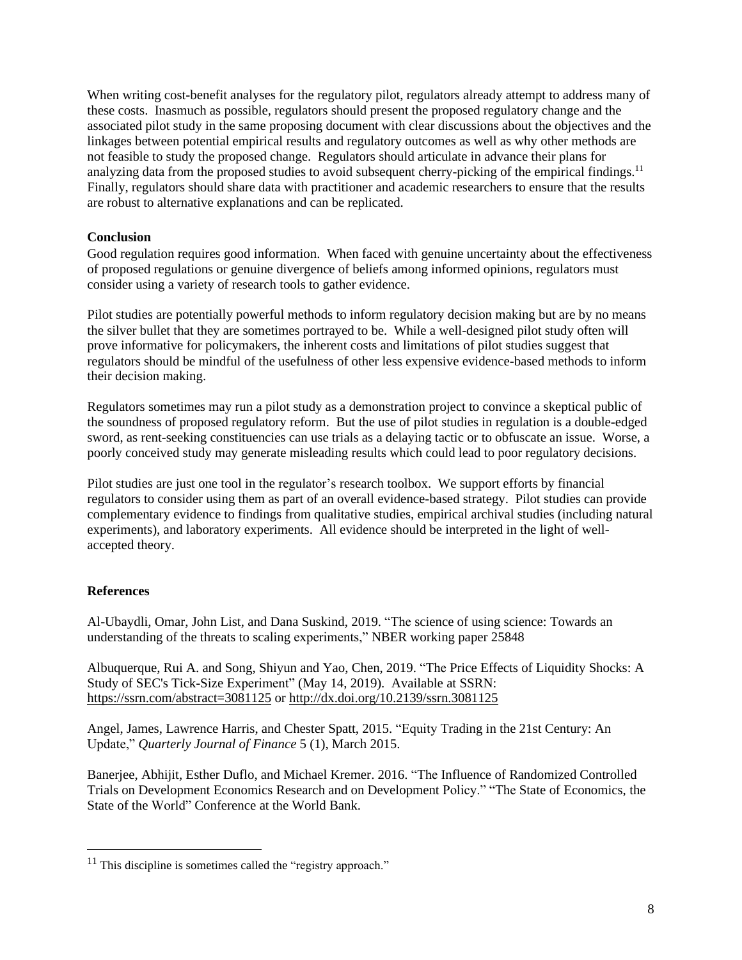When writing cost-benefit analyses for the regulatory pilot, regulators already attempt to address many of these costs. Inasmuch as possible, regulators should present the proposed regulatory change and the associated pilot study in the same proposing document with clear discussions about the objectives and the linkages between potential empirical results and regulatory outcomes as well as why other methods are not feasible to study the proposed change. Regulators should articulate in advance their plans for analyzing data from the proposed studies to avoid subsequent cherry-picking of the empirical findings.<sup>11</sup> Finally, regulators should share data with practitioner and academic researchers to ensure that the results are robust to alternative explanations and can be replicated.

# **Conclusion**

Good regulation requires good information. When faced with genuine uncertainty about the effectiveness of proposed regulations or genuine divergence of beliefs among informed opinions, regulators must consider using a variety of research tools to gather evidence.

Pilot studies are potentially powerful methods to inform regulatory decision making but are by no means the silver bullet that they are sometimes portrayed to be. While a well-designed pilot study often will prove informative for policymakers, the inherent costs and limitations of pilot studies suggest that regulators should be mindful of the usefulness of other less expensive evidence-based methods to inform their decision making.

Regulators sometimes may run a pilot study as a demonstration project to convince a skeptical public of the soundness of proposed regulatory reform. But the use of pilot studies in regulation is a double-edged sword, as rent-seeking constituencies can use trials as a delaying tactic or to obfuscate an issue. Worse, a poorly conceived study may generate misleading results which could lead to poor regulatory decisions.

Pilot studies are just one tool in the regulator's research toolbox. We support efforts by financial regulators to consider using them as part of an overall evidence-based strategy. Pilot studies can provide complementary evidence to findings from qualitative studies, empirical archival studies (including natural experiments), and laboratory experiments. All evidence should be interpreted in the light of wellaccepted theory.

## **References**

Al-Ubaydli, Omar, John List, and Dana Suskind, 2019. "The science of using science: Towards an understanding of the threats to scaling experiments," NBER working paper 25848

Albuquerque, Rui A. and Song, Shiyun and Yao, Chen, 2019. "The Price Effects of Liquidity Shocks: A Study of SEC's Tick-Size Experiment" (May 14, 2019). Available at SSRN: <https://ssrn.com/abstract=3081125> or <http://dx.doi.org/10.2139/ssrn.3081125>

Angel, James, Lawrence Harris, and Chester Spatt, 2015. "Equity Trading in the 21st Century: An Update," *Quarterly Journal of Finance* 5 (1), March 2015.

Banerjee, Abhijit, Esther Duflo, and Michael Kremer. 2016. "The Influence of Randomized Controlled Trials on Development Economics Research and on Development Policy." "The State of Economics, the State of the World" Conference at the World Bank.

 $11$  This discipline is sometimes called the "registry approach."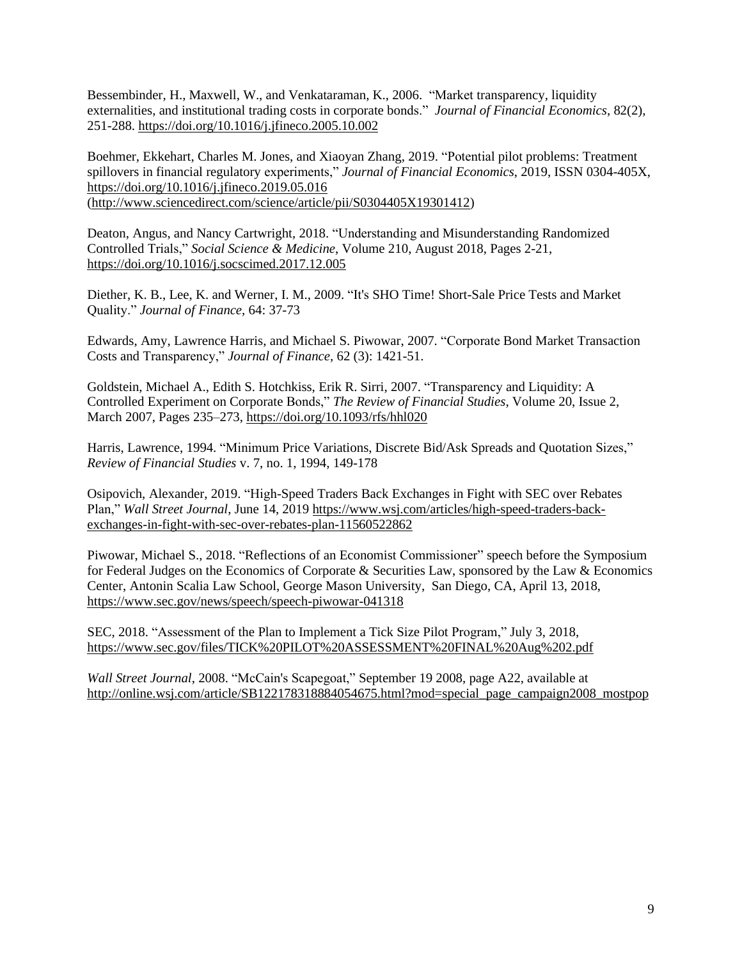Bessembinder, H., Maxwell, W., and Venkataraman, K., 2006. "Market transparency, liquidity externalities, and institutional trading costs in corporate bonds." *Journal of Financial Economics*, 82(2), 251-288. <https://doi.org/10.1016/j.jfineco.2005.10.002>

Boehmer, Ekkehart, Charles M. Jones, and Xiaoyan Zhang, 2019. "Potential pilot problems: Treatment spillovers in financial regulatory experiments," *Journal of Financial Economics*, 2019, ISSN 0304-405X, <https://doi.org/10.1016/j.jfineco.2019.05.016> [\(http://www.sciencedirect.com/science/article/pii/S0304405X19301412\)](http://www.sciencedirect.com/science/article/pii/S0304405X19301412)

Deaton, Angus, and Nancy Cartwright, 2018. "Understanding and Misunderstanding Randomized Controlled Trials," *Social Science & Medicine*, Volume 210, August 2018, Pages 2-21, <https://doi.org/10.1016/j.socscimed.2017.12.005>

Diether, K. B., Lee, K. and Werner, I. M., 2009. "It's SHO Time! Short-Sale Price Tests and Market Quality." *Journal of Finance*, 64: 37-73

Edwards, Amy, Lawrence Harris, and Michael S. Piwowar, 2007. "Corporate Bond Market Transaction Costs and Transparency," *Journal of Finance,* 62 (3): 1421-51.

Goldstein, Michael A., Edith S. Hotchkiss, Erik R. Sirri, 2007. "Transparency and Liquidity: A Controlled Experiment on Corporate Bonds," *The Review of Financial Studies*, Volume 20, Issue 2, March 2007, Pages 235–273, <https://doi.org/10.1093/rfs/hhl020>

Harris, Lawrence, 1994. "Minimum Price Variations, Discrete Bid/Ask Spreads and Quotation Sizes," *Review of Financial Studies* v. 7, no. 1, 1994, 149-178

Osipovich, Alexander, 2019. "High-Speed Traders Back Exchanges in Fight with SEC over Rebates Plan," *Wall Street Journal*, June 14, 2019 [https://www.wsj.com/articles/high-speed-traders-back](https://www.wsj.com/articles/high-speed-traders-back-exchanges-in-fight-with-sec-over-rebates-plan-11560522862)[exchanges-in-fight-with-sec-over-rebates-plan-11560522862](https://www.wsj.com/articles/high-speed-traders-back-exchanges-in-fight-with-sec-over-rebates-plan-11560522862)

Piwowar, Michael S., 2018. "Reflections of an Economist Commissioner" speech before the Symposium for Federal Judges on the Economics of Corporate & Securities Law, sponsored by the Law & Economics Center, Antonin Scalia Law School, George Mason University, San Diego, CA, April 13, 2018, <https://www.sec.gov/news/speech/speech-piwowar-041318>

SEC, 2018. "Assessment of the Plan to Implement a Tick Size Pilot Program," July 3, 2018, <https://www.sec.gov/files/TICK%20PILOT%20ASSESSMENT%20FINAL%20Aug%202.pdf>

*Wall Street Journal*, 2008. "McCain's Scapegoat," September 19 2008, page A22, available at [http://online.wsj.com/article/SB122178318884054675.html?mod=special\\_page\\_campaign2008\\_mostpop](http://online.wsj.com/article/SB122178318884054675.html?mod=special_page_campaign2008_mostpop)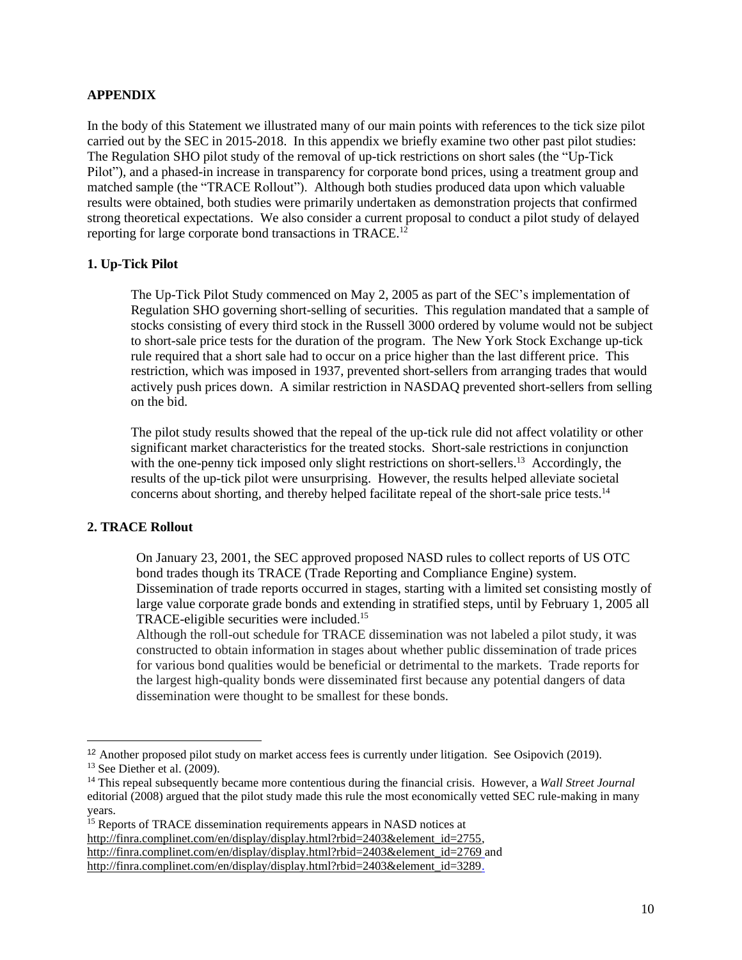#### **APPENDIX**

In the body of this Statement we illustrated many of our main points with references to the tick size pilot carried out by the SEC in 2015-2018. In this appendix we briefly examine two other past pilot studies: The Regulation SHO pilot study of the removal of up-tick restrictions on short sales (the "Up-Tick Pilot"), and a phased-in increase in transparency for corporate bond prices, using a treatment group and matched sample (the "TRACE Rollout"). Although both studies produced data upon which valuable results were obtained, both studies were primarily undertaken as demonstration projects that confirmed strong theoretical expectations. We also consider a current proposal to conduct a pilot study of delayed reporting for large corporate bond transactions in TRACE.<sup>12</sup>

#### **1. Up-Tick Pilot**

The Up-Tick Pilot Study commenced on May 2, 2005 as part of the SEC's implementation of Regulation SHO governing short-selling of securities. This regulation mandated that a sample of stocks consisting of every third stock in the Russell 3000 ordered by volume would not be subject to short-sale price tests for the duration of the program. The New York Stock Exchange up-tick rule required that a short sale had to occur on a price higher than the last different price. This restriction, which was imposed in 1937, prevented short-sellers from arranging trades that would actively push prices down. A similar restriction in NASDAQ prevented short-sellers from selling on the bid.

The pilot study results showed that the repeal of the up-tick rule did not affect volatility or other significant market characteristics for the treated stocks. Short-sale restrictions in conjunction with the one-penny tick imposed only slight restrictions on short-sellers.<sup>13</sup> Accordingly, the results of the up-tick pilot were unsurprising. However, the results helped alleviate societal concerns about shorting, and thereby helped facilitate repeal of the short-sale price tests.<sup>14</sup>

## **2. TRACE Rollout**

On January 23, 2001, the SEC approved proposed NASD rules to collect reports of US OTC bond trades though its TRACE (Trade Reporting and Compliance Engine) system. Dissemination of trade reports occurred in stages, starting with a limited set consisting mostly of large value corporate grade bonds and extending in stratified steps, until by February 1, 2005 all TRACE-eligible securities were included. 15

Although the roll-out schedule for TRACE dissemination was not labeled a pilot study, it was constructed to obtain information in stages about whether public dissemination of trade prices for various bond qualities would be beneficial or detrimental to the markets. Trade reports for the largest high-quality bonds were disseminated first because any potential dangers of data dissemination were thought to be smallest for these bonds.

<sup>&</sup>lt;sup>12</sup> Another proposed pilot study on market access fees is currently under litigation. See Osipovich (2019).  $13$  See Diether et al. (2009).

<sup>14</sup> This repeal subsequently became more contentious during the financial crisis. However, a *Wall Street Journal* editorial (2008) argued that the pilot study made this rule the most economically vetted SEC rule-making in many years.

<sup>&</sup>lt;sup>15</sup> Reports of TRACE dissemination requirements appears in NASD notices at [http://finra.complinet.com/en/display/display.html?rbid=2403&element\\_id=2755,](http://finra.complinet.com/en/display/display.html?rbid=2403&element_id=2755) [http://finra.complinet.com/en/display/display.html?rbid=2403&element\\_id=2769](http://finra.complinet.com/en/display/display.html?rbid=2403&element_id=2769) and [http://finra.complinet.com/en/display/display.html?rbid=2403&element\\_id=3289.](http://finra.complinet.com/en/display/display.html?rbid=2403&element_id=3289)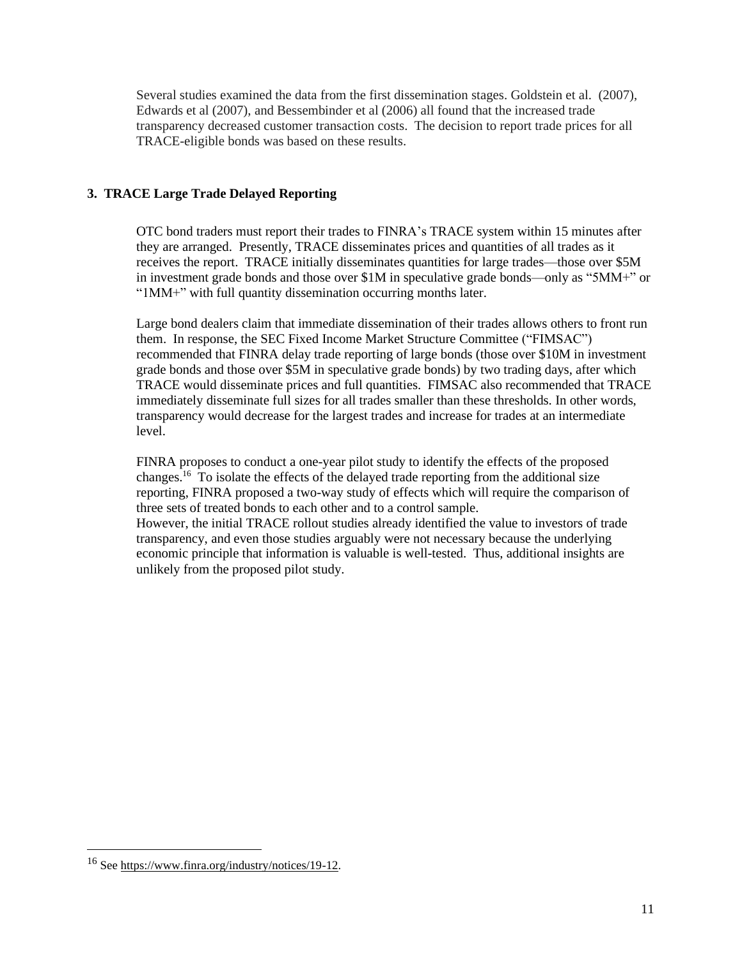Several studies examined the data from the first dissemination stages. Goldstein et al. (2007), Edwards et al (2007), and Bessembinder et al (2006) all found that the increased trade transparency decreased customer transaction costs. The decision to report trade prices for all TRACE-eligible bonds was based on these results.

# **3. TRACE Large Trade Delayed Reporting**

OTC bond traders must report their trades to FINRA's TRACE system within 15 minutes after they are arranged. Presently, TRACE disseminates prices and quantities of all trades as it receives the report. TRACE initially disseminates quantities for large trades—those over \$5M in investment grade bonds and those over \$1M in speculative grade bonds—only as "5MM+" or "1MM+" with full quantity dissemination occurring months later.

Large bond dealers claim that immediate dissemination of their trades allows others to front run them. In response, the SEC Fixed Income Market Structure Committee ("FIMSAC") recommended that FINRA delay trade reporting of large bonds (those over \$10M in investment grade bonds and those over \$5M in speculative grade bonds) by two trading days, after which TRACE would disseminate prices and full quantities. FIMSAC also recommended that TRACE immediately disseminate full sizes for all trades smaller than these thresholds. In other words, transparency would decrease for the largest trades and increase for trades at an intermediate level.

FINRA proposes to conduct a one-year pilot study to identify the effects of the proposed changes.<sup>16</sup> To isolate the effects of the delayed trade reporting from the additional size reporting, FINRA proposed a two-way study of effects which will require the comparison of three sets of treated bonds to each other and to a control sample. However, the initial TRACE rollout studies already identified the value to investors of trade transparency, and even those studies arguably were not necessary because the underlying economic principle that information is valuable is well-tested. Thus, additional insights are unlikely from the proposed pilot study.

<sup>16</sup> See [https://www.finra.org/industry/notices/19-12.](https://www.finra.org/industry/notices/19-12)